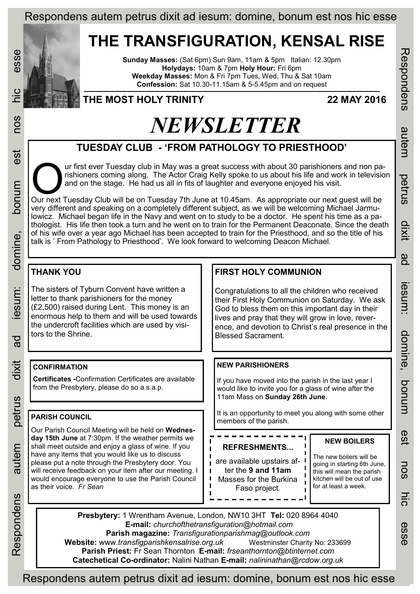## **THE TRANSFIGURATION, KENSAL RISE**

**Sunday Masses:** (Sat 6pm) Sun 9am, 11am & 5pm Italian: 12.30pm **Holydays:** 10am & 7pm **Holy Hour:** Fri 6pm **Weekday Masses:** Mon & Fri 7pm Tues, Wed, Thu & Sat 10am **Confession:** Sat 10.30-11.15am & 5-5.45pm and on request



est

bonum

domine,

lesum:

ad

dixit

petrus

## **THE MOST HOLY TRINITY 22 MAY 2016**

# *NEWSLETTER*

## **TUESDAY CLUB - 'FROM PATHOLOGY TO PRIESTHOOD'**

Tuesday club in May was a great success with about 30 parishioners and non parishioners coming along. The Actor Craig Kelly spoke to us about his life and work in television and on the stage. He had us all in fits of laugh ur first ever Tuesday club in May was a great success with about 30 parishioners and non parishioners coming along. The Actor Craig Kelly spoke to us about his life and work in television and on the stage. He had us all in fits of laughter and everyone enjoyed his visit.

very different and speaking on a completely different subject, as we will be welcoming Michael Jarmulowicz. Michael began life in the Navy and went on to study to be a doctor. He spent his time as a pathologist. His life then took a turn and he went on to train for the Permanent Deaconate. Since the death of his wife over a year ago Michael has been accepted to train for the Priesthood, and so the title of his talk is ' From Pathology to Priesthood'. We look forward to welcoming Deacon Michael.

## **THANK YOU**

The sisters of Tyburn Convent have written a letter to thank parishioners for the money (£2,500) raised during Lent. This money is an enormous help to them and will be used towards the undercroft facilities which are used by visitors to the Shrine.

### **CONFIRMATION**

**Certificates -**Confirmation Certificates are available from the Presbytery, please do so a.s.a.p.

#### **PARISH COUNCIL**

Our Parish Council Meeting will be held on **Wednesday 15th June** at 7:30pm. If the weather permits we shall meet outside and enjoy a glass of wine. If you have any items that you would like us to discuss please put a note through the Presbytery door. You will receive feedback on your item after our meeting. I would encourage everyone to use the Parish Council as their voice*. Fr Sean*

## **FIRST HOLY COMMUNION**

Congratulations to all the children who received their First Holy Communion on Saturday. We ask God to bless them on this important day in their lives and pray that they will grow in love, reverence, and devotion to Christ's real presence in the Blessed Sacrament.

#### **NEW PARISHIONERS**

If you have moved into the parish in the last year I would like to invite you for a glass of wine after the 11am Mass on **Sunday 26th June**.

It is an opportunity to meet you along with some other members of the parish.

| <b>REFRESHMENTS</b>                                                                         | <b>NEW BOILERS</b>                                                                                                                        |
|---------------------------------------------------------------------------------------------|-------------------------------------------------------------------------------------------------------------------------------------------|
| are available upstairs af-<br>ter the 9 and 11am<br>Masses for the Burkina<br>Faso project. | The new boilers will be<br>going in starting 6th June,<br>this will mean the parish<br>kitchen will be out of use<br>for at least a week. |

**Presbytery:** 1 Wrentham Avenue, London, NW10 3HT **Tel:** 020 8964 4040 **E-mail:** *churchofthetransfiguration@hotmail.com*  **Parish magazine:** *Transfigurationparishmag@outlook.com*  **Website:** www.*transfigparishkensalrise.org.uk* Westminster Charity No: 233699 **Parish Priest:** Fr Sean Thornton **E-mail:** *frseanthornton@btinternet.com*  **Catechetical Co-ordinator:** Nalini Nathan **E-mail:** *nalininathan@rcdow.org.uk* 

nos UIC esse Respondens autem petrus dixit ad iesum: domine, bonum est nos hic esse